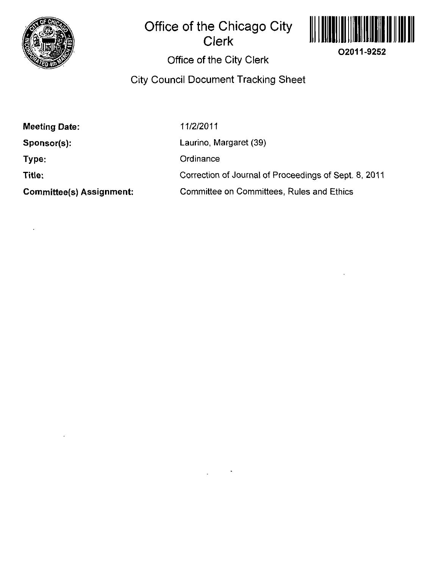

# **Office of the Chicago City Clerk**



# **Office of the City Clerk**

## **City Council Document Tracking Sheet**

| Meeting Date: |  |
|---------------|--|
|---------------|--|

**Sponsor(s):** 

**Type:** 

**Title:** 

**Committee(s) Assignment:** 

11/2/2011

Laurino, Margaret (39)

**Ordinance** 

Correction of Journal of Proceedings of Sept. 8, 2011

Committee on Committees, Rules and Ethics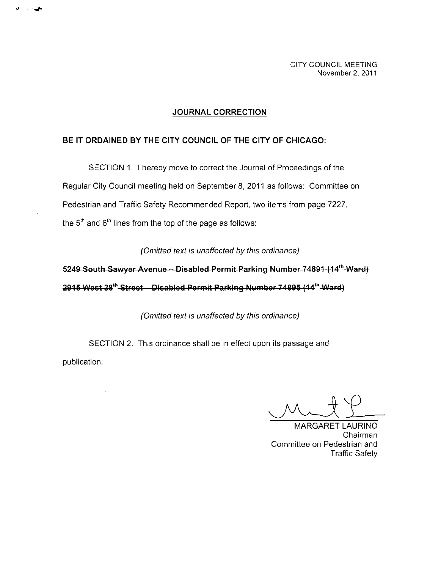CITY COUNCIL MEETING November 2, 2011

#### **JOURNAL CORRECTION**

### **BE IT ORDAINED BY THE CITY COUNCIL OF THE CITY OF CHICAGO:**

SECTION 1. I hereby move to correct the Journal of Proceedings of the Regular City Council meeting held on September 8, 2011 as follows: Committee on Pedestrian and Traffic Safety Recommended Report, two items from page 7227, the  $5<sup>th</sup>$  and  $6<sup>th</sup>$  lines from the top of the page as follows:

**(Omitted text is unaffected by this ordinance)** 

**5249 South Sawyer Avenue -- Disabled Permit Parking Number 74891 (14<sup>th</sup> Ward) 2915 West 38\*^ Street - Disabled Permit Parking Number 74895 (14^\*^ Ward)** 

(Omitted text is unaffected by this ordinance)

SECTION 2. This ordinance shall be in effect upon its passage and publication.

MARGARET LAURINO Chairman Committee on Pedestrian and Traffic Safety